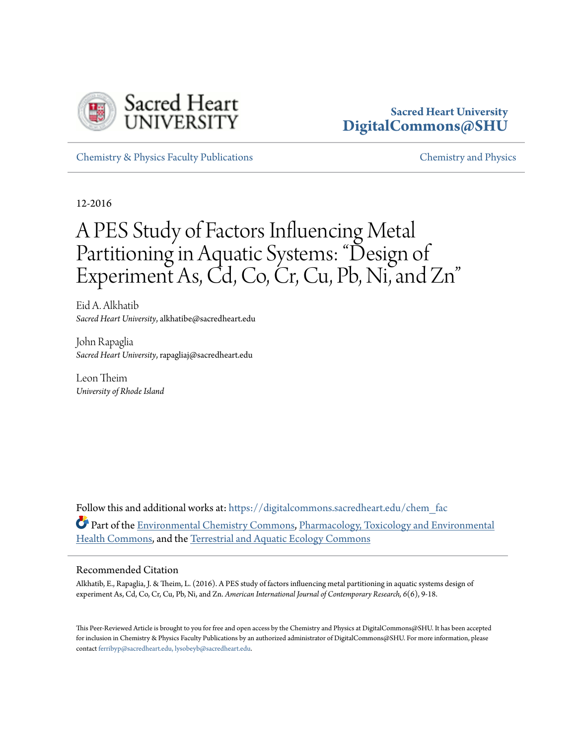

# **Sacred Heart University [DigitalCommons@SHU](https://digitalcommons.sacredheart.edu?utm_source=digitalcommons.sacredheart.edu%2Fchem_fac%2F52&utm_medium=PDF&utm_campaign=PDFCoverPages)**

[Chemistry & Physics Faculty Publications](https://digitalcommons.sacredheart.edu/chem_fac?utm_source=digitalcommons.sacredheart.edu%2Fchem_fac%2F52&utm_medium=PDF&utm_campaign=PDFCoverPages) [Chemistry and Physics](https://digitalcommons.sacredheart.edu/chem?utm_source=digitalcommons.sacredheart.edu%2Fchem_fac%2F52&utm_medium=PDF&utm_campaign=PDFCoverPages)

12-2016

# A PES Study of Factors Influencing Metal Partitioning in Aquatic Systems: "Design of Experiment As, Cd, Co, Cr, Cu, Pb, Ni, and Zn"

Eid A. Alkhatib *Sacred Heart University*, alkhatibe@sacredheart.edu

John Rapaglia *Sacred Heart University*, rapagliaj@sacredheart.edu

Leon Theim *University of Rhode Island*

Follow this and additional works at: [https://digitalcommons.sacredheart.edu/chem\\_fac](https://digitalcommons.sacredheart.edu/chem_fac?utm_source=digitalcommons.sacredheart.edu%2Fchem_fac%2F52&utm_medium=PDF&utm_campaign=PDFCoverPages) Part of the [Environmental Chemistry Commons](http://network.bepress.com/hgg/discipline/134?utm_source=digitalcommons.sacredheart.edu%2Fchem_fac%2F52&utm_medium=PDF&utm_campaign=PDFCoverPages), [Pharmacology, Toxicology and Environmental](http://network.bepress.com/hgg/discipline/63?utm_source=digitalcommons.sacredheart.edu%2Fchem_fac%2F52&utm_medium=PDF&utm_campaign=PDFCoverPages) [Health Commons,](http://network.bepress.com/hgg/discipline/63?utm_source=digitalcommons.sacredheart.edu%2Fchem_fac%2F52&utm_medium=PDF&utm_campaign=PDFCoverPages) and the [Terrestrial and Aquatic Ecology Commons](http://network.bepress.com/hgg/discipline/20?utm_source=digitalcommons.sacredheart.edu%2Fchem_fac%2F52&utm_medium=PDF&utm_campaign=PDFCoverPages)

#### Recommended Citation

Alkhatib, E., Rapaglia, J. & Theim, L. (2016). A PES study of factors influencing metal partitioning in aquatic systems design of experiment As, Cd, Co, Cr, Cu, Pb, Ni, and Zn. *American International Journal of Contemporary Research, 6*(6), 9-18.

This Peer-Reviewed Article is brought to you for free and open access by the Chemistry and Physics at DigitalCommons@SHU. It has been accepted for inclusion in Chemistry & Physics Faculty Publications by an authorized administrator of DigitalCommons@SHU. For more information, please contact [ferribyp@sacredheart.edu, lysobeyb@sacredheart.edu.](mailto:ferribyp@sacredheart.edu,%20lysobeyb@sacredheart.edu)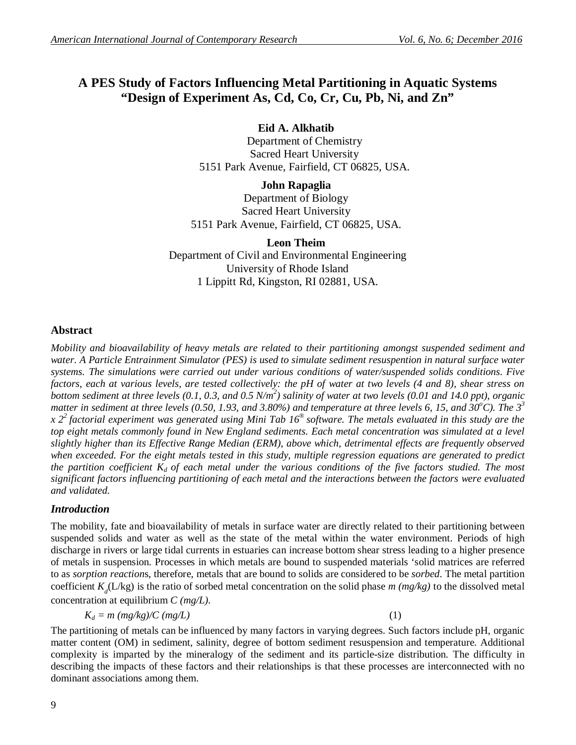# **A PES Study of Factors Influencing Metal Partitioning in Aquatic Systems "Design of Experiment As, Cd, Co, Cr, Cu, Pb, Ni, and Zn"**

#### **Eid A. Alkhatib**

Department of Chemistry Sacred Heart University 5151 Park Avenue, Fairfield, CT 06825, USA.

**John Rapaglia**

Department of Biology Sacred Heart University 5151 Park Avenue, Fairfield, CT 06825, USA.

**Leon Theim** Department of Civil and Environmental Engineering University of Rhode Island 1 Lippitt Rd, Kingston, RI 02881, USA.

#### **Abstract**

*Mobility and bioavailability of heavy metals are related to their partitioning amongst suspended sediment and water. A Particle Entrainment Simulator (PES) is used to simulate sediment resuspention in natural surface water systems. The simulations were carried out under various conditions of water/suspended solids conditions. Five factors, each at various levels, are tested collectively: the pH of water at two levels (4 and 8), shear stress on bottom sediment at three levels (0.1, 0.3, and 0.5 N/m<sup>2</sup> ) salinity of water at two levels (0.01 and 14.0 ppt), organic matter in sediment at three levels (0.50, 1.93, and 3.80%) and temperature at three levels 6, 15, and 30* $^o$ *C). The 3<sup>3</sup> x 2<sup>2</sup> factorial experiment was generated using Mini Tab 16® software. The metals evaluated in this study are the top eight metals commonly found in New England sediments. Each metal concentration was simulated at a level slightly higher than its Effective Range Median (ERM), above which, detrimental effects are frequently observed when exceeded. For the eight metals tested in this study, multiple regression equations are generated to predict the partition coefficient*  $K_d$  *of each metal under the various conditions of the five factors studied. The most significant factors influencing partitioning of each metal and the interactions between the factors were evaluated and validated.*

# *Introduction*

The mobility, fate and bioavailability of metals in surface water are directly related to their partitioning between suspended solids and water as well as the state of the metal within the water environment. Periods of high discharge in rivers or large tidal currents in estuaries can increase bottom shear stress leading to a higher presence of metals in suspension. Processes in which metals are bound to suspended materials 'solid matrices are referred to as *sorption reaction*s, therefore, metals that are bound to solids are considered to be *sorbed*. The metal partition coefficient  $K_d(L/\text{kg})$  is the ratio of sorbed metal concentration on the solid phase  $m$  ( $mg/kg$ ) to the dissolved metal concentration at equilibrium *C (mg/L).*

$$
K_d = m \ (mg/kg)/C \ (mg/L) \tag{1}
$$

The partitioning of metals can be influenced by many factors in varying degrees. Such factors include pH, organic matter content (OM) in sediment, salinity, degree of bottom sediment resuspension and temperature. Additional complexity is imparted by the mineralogy of the sediment and its particle-size distribution. The difficulty in describing the impacts of these factors and their relationships is that these processes are interconnected with no dominant associations among them.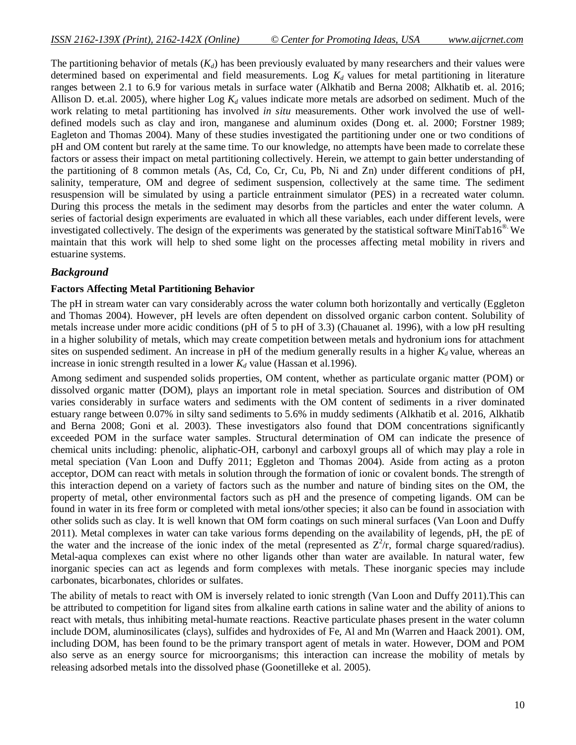The partitioning behavior of metals  $(K_d)$  has been previously evaluated by many researchers and their values were determined based on experimental and field measurements. Log *K<sup>d</sup>* values for metal partitioning in literature ranges between 2.1 to 6.9 for various metals in surface water (Alkhatib and Berna 2008; Alkhatib et. al. 2016; Allison D. et.al. 2005), where higher Log *K<sup>d</sup>* values indicate more metals are adsorbed on sediment. Much of the work relating to metal partitioning has involved *in situ* measurements. Other work involved the use of welldefined models such as clay and iron, manganese and aluminum oxides (Dong et. al. 2000; Forstner 1989; Eagleton and Thomas 2004). Many of these studies investigated the partitioning under one or two conditions of pH and OM content but rarely at the same time. To our knowledge, no attempts have been made to correlate these factors or assess their impact on metal partitioning collectively. Herein, we attempt to gain better understanding of the partitioning of 8 common metals (As, Cd, Co, Cr, Cu, Pb, Ni and Zn) under different conditions of pH, salinity, temperature, OM and degree of sediment suspension, collectively at the same time. The sediment resuspension will be simulated by using a particle entrainment simulator (PES) in a recreated water column. During this process the metals in the sediment may desorbs from the particles and enter the water column. A series of factorial design experiments are evaluated in which all these variables, each under different levels, were investigated collectively. The design of the experiments was generated by the statistical software MiniTab16®. We maintain that this work will help to shed some light on the processes affecting metal mobility in rivers and estuarine systems.

#### *Background*

#### **Factors Affecting Metal Partitioning Behavior**

The pH in stream water can vary considerably across the water column both horizontally and vertically (Eggleton and Thomas 2004). However, pH levels are often dependent on dissolved organic carbon content. Solubility of metals increase under more acidic conditions (pH of 5 to pH of 3.3) (Chauanet al. 1996), with a low pH resulting in a higher solubility of metals, which may create competition between metals and hydronium ions for attachment sites on suspended sediment. An increase in pH of the medium generally results in a higher  $K_d$  value, whereas an increase in ionic strength resulted in a lower  $K_d$  value (Hassan et al.1996).

Among sediment and suspended solids properties, OM content, whether as particulate organic matter (POM) or dissolved organic matter (DOM), plays an important role in metal speciation. Sources and distribution of OM varies considerably in surface waters and sediments with the OM content of sediments in a river dominated estuary range between 0.07% in silty sand sediments to 5.6% in muddy sediments (Alkhatib et al. 2016, Alkhatib and Berna 2008; Goni et al. 2003). These investigators also found that DOM concentrations significantly exceeded POM in the surface water samples. Structural determination of OM can indicate the presence of chemical units including: phenolic, aliphatic-OH, carbonyl and carboxyl groups all of which may play a role in metal speciation (Van Loon and Duffy 2011; Eggleton and Thomas 2004). Aside from acting as a proton acceptor, DOM can react with metals in solution through the formation of ionic or covalent bonds. The strength of this interaction depend on a variety of factors such as the number and nature of binding sites on the OM, the property of metal, other environmental factors such as pH and the presence of competing ligands. OM can be found in water in its free form or completed with metal ions/other species; it also can be found in association with other solids such as clay. It is well known that OM form coatings on such mineral surfaces (Van Loon and Duffy 2011). Metal complexes in water can take various forms depending on the availability of legends, pH, the pE of the water and the increase of the ionic index of the metal (represented as  $Z^2/r$ , formal charge squared/radius). Metal-aqua complexes can exist where no other ligands other than water are available. In natural water, few inorganic species can act as legends and form complexes with metals. These inorganic species may include carbonates, bicarbonates, chlorides or sulfates.

The ability of metals to react with OM is inversely related to ionic strength (Van Loon and Duffy 2011).This can be attributed to competition for ligand sites from alkaline earth cations in saline water and the ability of anions to react with metals, thus inhibiting metal-humate reactions. Reactive particulate phases present in the water column include DOM, aluminosilicates (clays), sulfides and hydroxides of Fe, Al and Mn (Warren and Haack 2001). OM, including DOM, has been found to be the primary transport agent of metals in water. However, DOM and POM also serve as an energy source for microorganisms; this interaction can increase the mobility of metals by releasing adsorbed metals into the dissolved phase (Goonetilleke et al. 2005).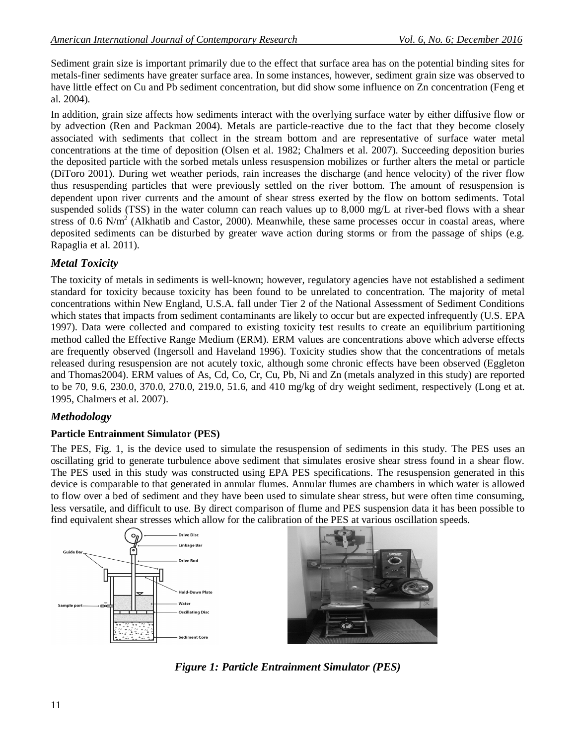Sediment grain size is important primarily due to the effect that surface area has on the potential binding sites for metals-finer sediments have greater surface area. In some instances, however, sediment grain size was observed to have little effect on Cu and Pb sediment concentration, but did show some influence on Zn concentration (Feng et al. 2004).

In addition, grain size affects how sediments interact with the overlying surface water by either diffusive flow or by advection (Ren and Packman 2004). Metals are particle-reactive due to the fact that they become closely associated with sediments that collect in the stream bottom and are representative of surface water metal concentrations at the time of deposition (Olsen et al. 1982; Chalmers et al. 2007). Succeeding deposition buries the deposited particle with the sorbed metals unless resuspension mobilizes or further alters the metal or particle (DiToro 2001). During wet weather periods, rain increases the discharge (and hence velocity) of the river flow thus resuspending particles that were previously settled on the river bottom. The amount of resuspension is dependent upon river currents and the amount of shear stress exerted by the flow on bottom sediments. Total suspended solids (TSS) in the water column can reach values up to 8,000 mg/L at river-bed flows with a shear stress of  $0.6$  N/m<sup>2</sup> (Alkhatib and Castor, 2000). Meanwhile, these same processes occur in coastal areas, where deposited sediments can be disturbed by greater wave action during storms or from the passage of ships (e.g. Rapaglia et al. 2011).

# *Metal Toxicity*

The toxicity of metals in sediments is well-known; however, regulatory agencies have not established a sediment standard for toxicity because toxicity has been found to be unrelated to concentration. The majority of metal concentrations within New England, U.S.A. fall under Tier 2 of the National Assessment of Sediment Conditions which states that impacts from sediment contaminants are likely to occur but are expected infrequently (U.S. EPA 1997). Data were collected and compared to existing toxicity test results to create an equilibrium partitioning method called the Effective Range Medium (ERM). ERM values are concentrations above which adverse effects are frequently observed (Ingersoll and Haveland 1996). Toxicity studies show that the concentrations of metals released during resuspension are not acutely toxic, although some chronic effects have been observed (Eggleton and Thomas2004). ERM values of As, Cd, Co, Cr, Cu, Pb, Ni and Zn (metals analyzed in this study) are reported to be 70, 9.6, 230.0, 370.0, 270.0, 219.0, 51.6, and 410 mg/kg of dry weight sediment, respectively (Long et at. 1995, Chalmers et al. 2007).

# *Methodology*

#### **Particle Entrainment Simulator (PES)**

The PES, Fig. 1, is the device used to simulate the resuspension of sediments in this study. The PES uses an oscillating grid to generate turbulence above sediment that simulates erosive shear stress found in a shear flow. The PES used in this study was constructed using EPA PES specifications. The resuspension generated in this device is comparable to that generated in annular flumes. Annular flumes are chambers in which water is allowed to flow over a bed of sediment and they have been used to simulate shear stress, but were often time consuming, less versatile, and difficult to use. By direct comparison of flume and PES suspension data it has been possible to find equivalent shear stresses which allow for the calibration of the PES at various oscillation speeds.



*Figure 1: Particle Entrainment Simulator (PES)*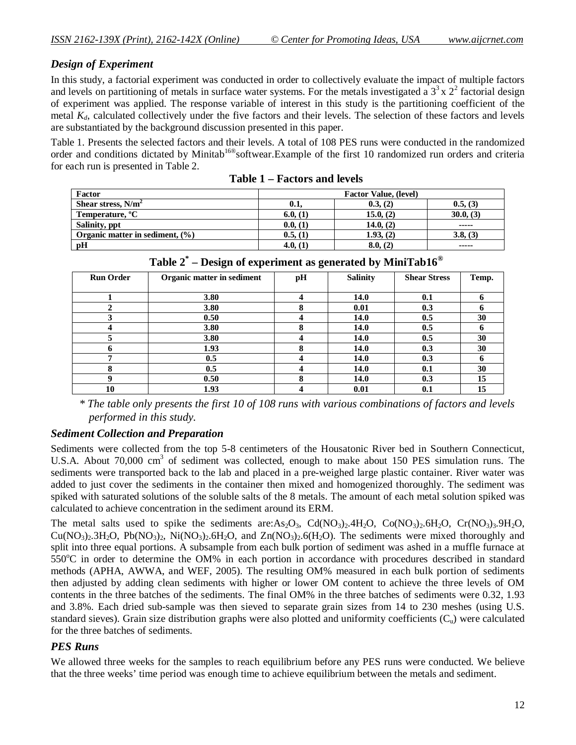#### *Design of Experiment*

In this study, a factorial experiment was conducted in order to collectively evaluate the impact of multiple factors and levels on partitioning of metals in surface water systems. For the metals investigated a  $3<sup>3</sup>$  x  $2<sup>2</sup>$  factorial design of experiment was applied. The response variable of interest in this study is the partitioning coefficient of the metal *Kd*, calculated collectively under the five factors and their levels. The selection of these factors and levels are substantiated by the background discussion presented in this paper.

Table 1. Presents the selected factors and their levels. A total of 108 PES runs were conducted in the randomized order and conditions dictated by Minitab<sup>16®</sup>softwear.Example of the first 10 randomized run orders and criteria for each run is presented in Table 2.

| Factor                              | <b>Factor Value, (level)</b> |           |                                                                                                                                                                                                                                                                                                                                                                                                                                                                                        |  |  |  |  |  |  |  |
|-------------------------------------|------------------------------|-----------|----------------------------------------------------------------------------------------------------------------------------------------------------------------------------------------------------------------------------------------------------------------------------------------------------------------------------------------------------------------------------------------------------------------------------------------------------------------------------------------|--|--|--|--|--|--|--|
| Shear stress, $N/m^2$               | 0.1,                         | 0.3, (2)  | 0.5, (3)                                                                                                                                                                                                                                                                                                                                                                                                                                                                               |  |  |  |  |  |  |  |
| Temperature, <sup>o</sup> C         | 6.0, (1)                     | 15.0, (2) | 30.0, (3)                                                                                                                                                                                                                                                                                                                                                                                                                                                                              |  |  |  |  |  |  |  |
| Salinity, ppt                       | 0.0, (1)                     | 14.0, (2) | -----                                                                                                                                                                                                                                                                                                                                                                                                                                                                                  |  |  |  |  |  |  |  |
| Organic matter in sediment, $(\% )$ | 0.5, (1)                     | 1.93, (2) | 3.8, (3)                                                                                                                                                                                                                                                                                                                                                                                                                                                                               |  |  |  |  |  |  |  |
| pH                                  | 4.0, (1)                     | 8.0, (2)  | $\begin{array}{cccccccccccccc} \multicolumn{2}{c}{} & \multicolumn{2}{c}{} & \multicolumn{2}{c}{} & \multicolumn{2}{c}{} & \multicolumn{2}{c}{} & \multicolumn{2}{c}{} & \multicolumn{2}{c}{} & \multicolumn{2}{c}{} & \multicolumn{2}{c}{} & \multicolumn{2}{c}{} & \multicolumn{2}{c}{} & \multicolumn{2}{c}{} & \multicolumn{2}{c}{} & \multicolumn{2}{c}{} & \multicolumn{2}{c}{} & \multicolumn{2}{c}{} & \multicolumn{2}{c}{} & \multicolumn{2}{c}{} & \multicolumn{2}{c}{} & \$ |  |  |  |  |  |  |  |

**Table 1 – Factors and levels**

| <b>Run Order</b> | Organic matter in sediment | pН | <b>Salinity</b> | <b>Shear Stress</b> | Temp. |
|------------------|----------------------------|----|-----------------|---------------------|-------|
|                  |                            |    |                 |                     |       |
|                  | 3.80                       |    | 14.0            | 0.1                 |       |
|                  | 3.80                       |    | 0.01            | 0.3                 |       |
|                  | 0.50                       |    | 14.0            | 0.5                 | 30    |
|                  | 3.80                       |    | 14.0            | 0.5                 |       |
|                  | 3.80                       |    | 14.0            | 0.5                 | 30    |
|                  | 1.93                       |    | 14.0            | 0.3                 | 30    |
|                  | 0.5                        |    | 14.0            | 0.3                 |       |
| Л                | 0.5                        |    | 14.0            | 0.1                 | 30    |
|                  | 0.50                       |    | 14.0            | 0.3                 | 15    |
| 10               | 1.93                       |    | 0.01            | 0.1                 | 15    |

**Table 2\* – Design of experiment as generated by MiniTab16®**

 *\* The table only presents the first 10 of 108 runs with various combinations of factors and levels performed in this study.* 

#### *Sediment Collection and Preparation*

Sediments were collected from the top 5-8 centimeters of the Housatonic River bed in Southern Connecticut, U.S.A. About 70,000 cm<sup>3</sup> of sediment was collected, enough to make about 150 PES simulation runs. The sediments were transported back to the lab and placed in a pre-weighed large plastic container. River water was added to just cover the sediments in the container then mixed and homogenized thoroughly. The sediment was spiked with saturated solutions of the soluble salts of the 8 metals. The amount of each metal solution spiked was calculated to achieve concentration in the sediment around its ERM.

The metal salts used to spike the sediments are:As<sub>2</sub>O<sub>3</sub>, Cd(NO<sub>3</sub>)<sub>2</sub>.4H<sub>2</sub>O, Co(NO<sub>3</sub>)<sub>2</sub>.6H<sub>2</sub>O, Cr(NO<sub>3</sub>)<sub>3</sub>.9H<sub>2</sub>O,  $Cu(NO<sub>3</sub>)<sub>2</sub>$ ,  $H<sub>2</sub>O$ ,  $P<sub>6</sub>(NO<sub>3</sub>)<sub>2</sub>$ ,  $Ni(NO<sub>3</sub>)<sub>2</sub>$ ,  $6H<sub>2</sub>O$ , and  $Z<sub>n</sub>(NO<sub>3</sub>)<sub>2</sub>$ ,  $6(H<sub>2</sub>O)$ . The sediments were mixed thoroughly and split into three equal portions. A subsample from each bulk portion of sediment was ashed in a muffle furnace at  $550^{\circ}$ C in order to determine the OM% in each portion in accordance with procedures described in standard methods (APHA, AWWA, and WEF, 2005). The resulting OM% measured in each bulk portion of sediments then adjusted by adding clean sediments with higher or lower OM content to achieve the three levels of OM contents in the three batches of the sediments. The final OM% in the three batches of sediments were 0.32, 1.93 and 3.8%. Each dried sub-sample was then sieved to separate grain sizes from 14 to 230 meshes (using U.S. standard sieves). Grain size distribution graphs were also plotted and uniformity coefficients  $(C_{u})$  were calculated for the three batches of sediments.

# *PES Runs*

We allowed three weeks for the samples to reach equilibrium before any PES runs were conducted. We believe that the three weeks' time period was enough time to achieve equilibrium between the metals and sediment.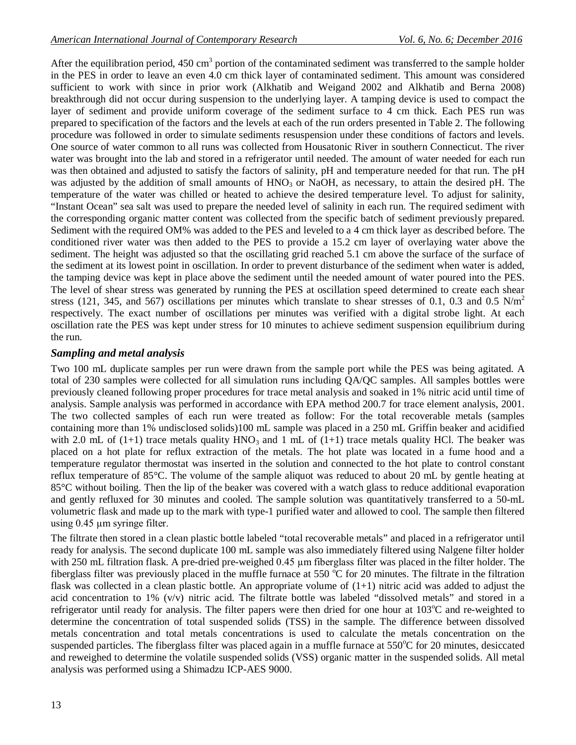After the equilibration period,  $450 \text{ cm}^3$  portion of the contaminated sediment was transferred to the sample holder in the PES in order to leave an even 4.0 cm thick layer of contaminated sediment. This amount was considered sufficient to work with since in prior work (Alkhatib and Weigand 2002 and Alkhatib and Berna 2008) breakthrough did not occur during suspension to the underlying layer. A tamping device is used to compact the layer of sediment and provide uniform coverage of the sediment surface to 4 cm thick. Each PES run was prepared to specification of the factors and the levels at each of the run orders presented in Table 2. The following procedure was followed in order to simulate sediments resuspension under these conditions of factors and levels. One source of water common to all runs was collected from Housatonic River in southern Connecticut. The river water was brought into the lab and stored in a refrigerator until needed. The amount of water needed for each run was then obtained and adjusted to satisfy the factors of salinity, pH and temperature needed for that run. The pH was adjusted by the addition of small amounts of  $HNO<sub>3</sub>$  or NaOH, as necessary, to attain the desired pH. The temperature of the water was chilled or heated to achieve the desired temperature level. To adjust for salinity, "Instant Ocean" sea salt was used to prepare the needed level of salinity in each run. The required sediment with the corresponding organic matter content was collected from the specific batch of sediment previously prepared. Sediment with the required OM% was added to the PES and leveled to a 4 cm thick layer as described before. The conditioned river water was then added to the PES to provide a 15.2 cm layer of overlaying water above the sediment. The height was adjusted so that the oscillating grid reached 5.1 cm above the surface of the surface of the sediment at its lowest point in oscillation. In order to prevent disturbance of the sediment when water is added, the tamping device was kept in place above the sediment until the needed amount of water poured into the PES. The level of shear stress was generated by running the PES at oscillation speed determined to create each shear stress (121, 345, and 567) oscillations per minutes which translate to shear stresses of 0.1, 0.3 and 0.5 N/m<sup>2</sup> respectively. The exact number of oscillations per minutes was verified with a digital strobe light. At each oscillation rate the PES was kept under stress for 10 minutes to achieve sediment suspension equilibrium during the run.

#### *Sampling and metal analysis*

Two 100 mL duplicate samples per run were drawn from the sample port while the PES was being agitated. A total of 230 samples were collected for all simulation runs including QA/QC samples. All samples bottles were previously cleaned following proper procedures for trace metal analysis and soaked in 1% nitric acid until time of analysis. Sample analysis was performed in accordance with EPA method 200.7 for trace element analysis, 2001. The two collected samples of each run were treated as follow: For the total recoverable metals (samples containing more than 1% undisclosed solids)100 mL sample was placed in a 250 mL Griffin beaker and acidified with 2.0 mL of (1+1) trace metals quality  $HNO<sub>3</sub>$  and 1 mL of (1+1) trace metals quality HCl. The beaker was placed on a hot plate for reflux extraction of the metals. The hot plate was located in a fume hood and a temperature regulator thermostat was inserted in the solution and connected to the hot plate to control constant reflux temperature of 85°C. The volume of the sample aliquot was reduced to about 20 mL by gentle heating at 85°C without boiling. Then the lip of the beaker was covered with a watch glass to reduce additional evaporation and gently refluxed for 30 minutes and cooled. The sample solution was quantitatively transferred to a 50-mL volumetric flask and made up to the mark with type-1 purified water and allowed to cool. The sample then filtered using 0.45 µm syringe filter.

The filtrate then stored in a clean plastic bottle labeled "total recoverable metals" and placed in a refrigerator until ready for analysis. The second duplicate 100 mL sample was also immediately filtered using Nalgene filter holder with 250 mL filtration flask. A pre-dried pre-weighed 0.45 µm fiberglass filter was placed in the filter holder. The fiberglass filter was previously placed in the muffle furnace at 550  $\degree$ C for 20 minutes. The filtrate in the filtration flask was collected in a clean plastic bottle. An appropriate volume of  $(1+1)$  nitric acid was added to adjust the acid concentration to 1% (v/v) nitric acid. The filtrate bottle was labeled "dissolved metals" and stored in a refrigerator until ready for analysis. The filter papers were then dried for one hour at  $103^{\circ}$ C and re-weighted to determine the concentration of total suspended solids (TSS) in the sample. The difference between dissolved metals concentration and total metals concentrations is used to calculate the metals concentration on the suspended particles. The fiberglass filter was placed again in a muffle furnace at  $550^{\circ}$ C for 20 minutes, desiccated and reweighed to determine the volatile suspended solids (VSS) organic matter in the suspended solids. All metal analysis was performed using a Shimadzu ICP-AES 9000.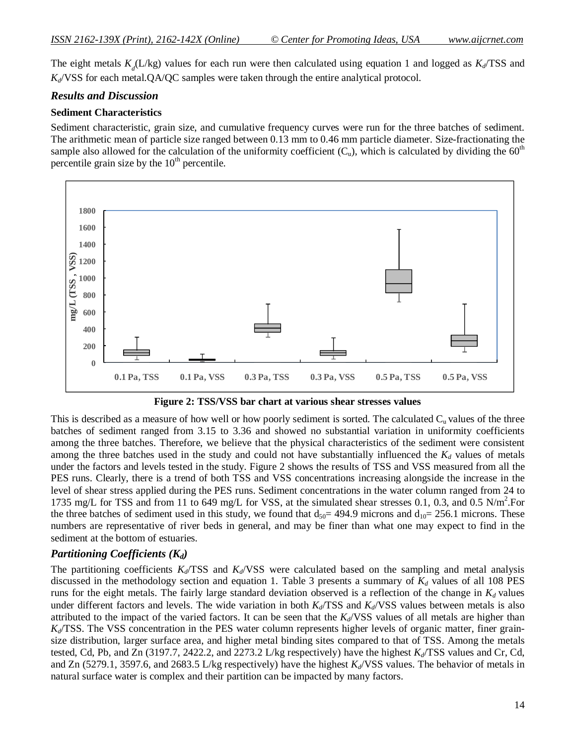The eight metals  $K_d(L/kg)$  values for each run were then calculated using equation 1 and logged as  $K_d/TSS$  and *Kd*/VSS for each metal.QA/QC samples were taken through the entire analytical protocol.

#### *Results and Discussion*

#### **Sediment Characteristics**

Sediment characteristic, grain size, and cumulative frequency curves were run for the three batches of sediment. The arithmetic mean of particle size ranged between 0.13 mm to 0.46 mm particle diameter. Size-fractionating the sample also allowed for the calculation of the uniformity coefficient  $(C_u)$ , which is calculated by dividing the 60<sup>th</sup> percentile grain size by the  $10<sup>th</sup>$  percentile.





This is described as a measure of how well or how poorly sediment is sorted. The calculated  $C<sub>u</sub>$  values of the three batches of sediment ranged from 3.15 to 3.36 and showed no substantial variation in uniformity coefficients among the three batches. Therefore, we believe that the physical characteristics of the sediment were consistent among the three batches used in the study and could not have substantially influenced the  $K_d$  values of metals under the factors and levels tested in the study. Figure 2 shows the results of TSS and VSS measured from all the PES runs. Clearly, there is a trend of both TSS and VSS concentrations increasing alongside the increase in the level of shear stress applied during the PES runs. Sediment concentrations in the water column ranged from 24 to 1735 mg/L for TSS and from 11 to 649 mg/L for VSS, at the simulated shear stresses 0.1, 0.3, and 0.5 N/m<sup>2</sup>. For the three batches of sediment used in this study, we found that  $d_{50}= 494.9$  microns and  $d_{10}= 256.1$  microns. These numbers are representative of river beds in general, and may be finer than what one may expect to find in the sediment at the bottom of estuaries.

#### *Partitioning Coefficients (Kd)*

The partitioning coefficients  $K_d$ /TSS and  $K_d$ /VSS were calculated based on the sampling and metal analysis discussed in the methodology section and equation 1. Table 3 presents a summary of *K<sup>d</sup>* values of all 108 PES runs for the eight metals. The fairly large standard deviation observed is a reflection of the change in  $K_d$  values under different factors and levels. The wide variation in both  $K_d/\text{TSS}$  and  $K_d/\text{VSS}$  values between metals is also attributed to the impact of the varied factors. It can be seen that the *Kd*/VSS values of all metals are higher than  $K_d$ /TSS. The VSS concentration in the PES water column represents higher levels of organic matter, finer grainsize distribution, larger surface area, and higher metal binding sites compared to that of TSS. Among the metals tested, Cd, Pb, and Zn (3197.7, 2422.2, and 2273.2 L/kg respectively) have the highest *Kd*/TSS values and Cr, Cd, and Zn (5279.1, 3597.6, and 2683.5 L/kg respectively) have the highest  $K_d$ /VSS values. The behavior of metals in natural surface water is complex and their partition can be impacted by many factors.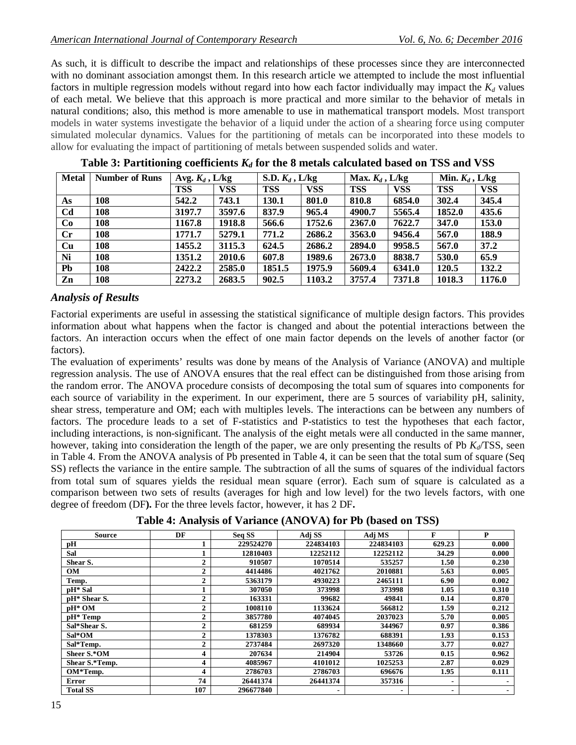As such, it is difficult to describe the impact and relationships of these processes since they are interconnected with no dominant association amongst them. In this research article we attempted to include the most influential factors in multiple regression models without regard into how each factor individually may impact the  $K_d$  values of each metal. We believe that this approach is more practical and more similar to the behavior of metals in natural conditions; also, this method is more amenable to use in mathematical transport models. Most transport models in water systems investigate the behavior of a liquid under the action of a shearing force using computer simulated molecular dynamics. Values for the partitioning of metals can be incorporated into these models to allow for evaluating the impact of partitioning of metals between suspended solids and water.

| <b>Metal</b>   | <b>Number of Runs</b> | Avg. $K_d$ , L/kg |            | S.D. $K_d$ , L/kg |            | Max. $K_d$ , L/kg |            | Min. $K_d$ , L/kg |            |  |
|----------------|-----------------------|-------------------|------------|-------------------|------------|-------------------|------------|-------------------|------------|--|
|                |                       | <b>TSS</b>        | <b>VSS</b> | <b>TSS</b>        | <b>VSS</b> | <b>TSS</b>        | <b>VSS</b> | <b>TSS</b>        | <b>VSS</b> |  |
| As             | 108                   | 542.2             | 743.1      | 130.1             | 801.0      | 810.8             | 6854.0     | 302.4             | 345.4      |  |
| C <sub>d</sub> | 108                   | 3197.7            | 3597.6     | 837.9             | 965.4      | 4900.7            | 5565.4     | 1852.0            | 435.6      |  |
| Co             | 108                   | 1167.8            | 1918.8     | 566.6             | 1752.6     | 2367.0            | 7622.7     | 347.0             | 153.0      |  |
| $\mathbf{C}$ r | 108                   | 1771.7            | 5279.1     | 771.2             | 2686.2     | 3563.0            | 9456.4     | 567.0             | 188.9      |  |
| Cu             | 108                   | 1455.2            | 3115.3     | 624.5             | 2686.2     | 2894.0            | 9958.5     | 567.0             | 37.2       |  |
| Ni             | 108                   | 1351.2            | 2010.6     | 607.8             | 1989.6     | 2673.0            | 8838.7     | 530.0             | 65.9       |  |
| <b>Pb</b>      | 108                   | 2422.2            | 2585.0     | 1851.5            | 1975.9     | 5609.4            | 6341.0     | 120.5             | 132.2      |  |
| Zn             | 108                   | 2273.2            | 2683.5     | 902.5             | 1103.2     | 3757.4            | 7371.8     | 1018.3            | 1176.0     |  |

Table 3: Partitioning coefficients  $K_d$  for the 8 metals calculated based on TSS and VSS

#### *Analysis of Results*

Factorial experiments are useful in assessing the statistical significance of multiple design factors. This provides information about what happens when the factor is changed and about the potential interactions between the factors. An interaction occurs when the effect of one main factor depends on the levels of another factor (or factors).

The evaluation of experiments' results was done by means of the Analysis of Variance (ANOVA) and multiple regression analysis. The use of ANOVA ensures that the real effect can be distinguished from those arising from the random error. The ANOVA procedure consists of decomposing the total sum of squares into components for each source of variability in the experiment. In our experiment, there are 5 sources of variability pH, salinity, shear stress, temperature and OM; each with multiples levels. The interactions can be between any numbers of factors. The procedure leads to a set of F-statistics and P-statistics to test the hypotheses that each factor, including interactions, is non-significant. The analysis of the eight metals were all conducted in the same manner, however, taking into consideration the length of the paper, we are only presenting the results of Pb *Kd*/TSS, seen in Table 4. From the ANOVA analysis of Pb presented in Table 4, it can be seen that the total sum of square (Seq SS) reflects the variance in the entire sample. The subtraction of all the sums of squares of the individual factors from total sum of squares yields the residual mean square (error). Each sum of square is calculated as a comparison between two sets of results (averages for high and low level) for the two levels factors, with one degree of freedom (DF**).** For the three levels factor, however, it has 2 DF**.**

**Table 4: Analysis of Variance (ANOVA) for Pb (based on TSS)**

| <b>Source</b>       | DF           | Seq SS    | Adj SS    | Adj MS    | F              | P     |
|---------------------|--------------|-----------|-----------|-----------|----------------|-------|
| рH                  |              | 229524270 | 224834103 | 224834103 | 629.23         | 0.000 |
| Sal                 |              | 12810403  | 12252112  | 12252112  | 34.29          | 0.000 |
| Shear S.            | $\mathbf 2$  | 910507    | 1070514   | 535257    | 1.50           | 0.230 |
| OM                  | $\mathbf 2$  | 4414486   | 4021762   | 2010881   | 5.63           | 0.005 |
| Temp.               | $\mathbf 2$  | 5363179   | 4930223   | 2465111   | 6.90           | 0.002 |
| pH <sup>*</sup> Sal |              | 307050    | 373998    | 373998    | 1.05           | 0.310 |
| pH* Shear S.        | $\mathbf{2}$ | 163331    | 99682     | 49841     | 0.14           | 0.870 |
| $pH^*OM$            | $\mathbf{2}$ | 1008110   | 1133624   | 566812    | 1.59           | 0.212 |
| $pH*Temp$           | $\mathbf{2}$ | 3857780   | 4074045   | 2037023   | 5.70           | 0.005 |
| Sal*Shear S.        | $\mathbf{2}$ | 681259    | 689934    | 344967    | 0.97           | 0.386 |
| Sal*OM              | $\mathbf{2}$ | 1378303   | 1376782   | 688391    | 1.93           | 0.153 |
| Sal*Temp.           | $\mathbf{2}$ | 2737484   | 2697320   | 1348660   | 3.77           | 0.027 |
| Sheer S.*OM         | 4            | 207634    | 214904    | 53726     | 0.15           | 0.962 |
| Shear S.*Temp.      | 4            | 4085967   | 4101012   | 1025253   | 2.87           | 0.029 |
| OM*Temp.            | 4            | 2786703   | 2786703   | 696676    | 1.95           | 0.111 |
| <b>Error</b>        | 74           | 26441374  | 26441374  | 357316    | $\blacksquare$ |       |
| <b>Total SS</b>     | 107          | 296677840 |           | ٠         | $\blacksquare$ |       |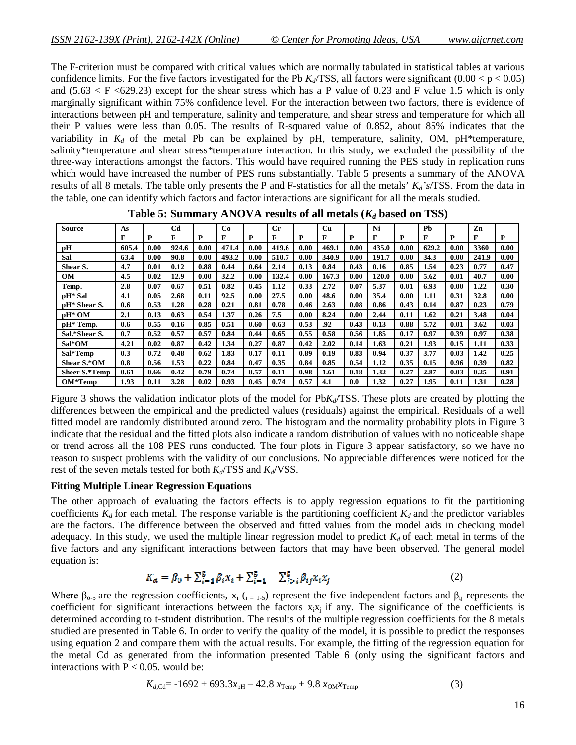The F-criterion must be compared with critical values which are normally tabulated in statistical tables at various confidence limits. For the five factors investigated for the Pb  $K_d$ /TSS, all factors were significant (0.00 < p < 0.05) and  $(5.63 < F < 629.23)$  except for the shear stress which has a P value of 0.23 and F value 1.5 which is only marginally significant within 75% confidence level. For the interaction between two factors, there is evidence of interactions between pH and temperature, salinity and temperature, and shear stress and temperature for which all their P values were less than 0.05. The results of R-squared value of 0.852, about 85% indicates that the variability in  $K_d$  of the metal Pb can be explained by pH, temperature, salinity, OM, pH\*temperature, salinity\*temperature and shear stress\*temperature interaction. In this study, we excluded the possibility of the three-way interactions amongst the factors. This would have required running the PES study in replication runs which would have increased the number of PES runs substantially. Table 5 presents a summary of the ANOVA results of all 8 metals. The table only presents the P and F-statistics for all the metals' *Kd's*/TSS. From the data in the table, one can identify which factors and factor interactions are significant for all the metals studied.

| <b>Source</b>        | As    |      | C <sub>d</sub> |      | Co    |      | $C_{r}$ |      | Cu    |      | Ni    |      | Ph    |      | Zn    |      |
|----------------------|-------|------|----------------|------|-------|------|---------|------|-------|------|-------|------|-------|------|-------|------|
|                      | F     | P    | F              | P    | F     | P    | F       | P    | F     | P    | F     | P    | F     | P    | F     | P    |
| pH                   | 605.4 | 0.00 | 924.6          | 0.00 | 471.4 | 0.00 | 419.6   | 0.00 | 469.1 | 0.00 | 435.0 | 0.00 | 629.2 | 0.00 | 3360  | 0.00 |
| Sal                  | 63.4  | 0.00 | 90.8           | 0.00 | 493.2 | 0.00 | 510.7   | 0.00 | 340.9 | 0.00 | 191.7 | 0.00 | 34.3  | 0.00 | 241.9 | 0.00 |
| Shear S.             | 4.7   | 0.01 | 0.12           | 0.88 | 0.44  | 0.64 | 2.14    | 0.13 | 0.84  | 0.43 | 0.16  | 0.85 | 1.54  | 0.23 | 0.77  | 0.47 |
| <b>OM</b>            | 4.5   | 0.02 | 12.9           | 0.00 | 32.2  | 0.00 | 132.4   | 0.00 | 167.3 | 0.00 | 120.0 | 0.00 | 5.62  | 0.01 | 40.7  | 0.00 |
| Temp.                | 2.8   | 0.07 | 0.67           | 0.51 | 0.82  | 0.45 | 1.12    | 0.33 | 2.72  | 0.07 | 5.37  | 0.01 | 6.93  | 0.00 | 1.22  | 0.30 |
| pH* Sal              | 4.1   | 0.05 | 2.68           | 0.11 | 92.5  | 0.00 | 27.5    | 0.00 | 48.6  | 0.00 | 35.4  | 0.00 | 1.11  | 0.31 | 32.8  | 0.00 |
| pH* Shear S.         | 0.6   | 0.53 | 1.28           | 0.28 | 0.21  | 0.81 | 0.78    | 0.46 | 2.63  | 0.08 | 0.86  | 0.43 | 0.14  | 0.87 | 0.23  | 0.79 |
| $pH^*$ OM            | 2.1   | 0.13 | 0.63           | 0.54 | 1.37  | 0.26 | 7.5     | 0.00 | 8.24  | 0.00 | 2.44  | 0.11 | 1.62  | 0.21 | 3.48  | 0.04 |
| pH* Temp.            | 0.6   | 0.55 | 0.16           | 0.85 | 0.51  | 0.60 | 0.63    | 0.53 | .92   | 0.43 | 0.13  | 0.88 | 5.72  | 0.01 | 3.62  | 0.03 |
| Sal.*Shear S.        | 0.7   | 0.52 | 0.57           | 0.57 | 0.84  | 0.44 | 0.65    | 0.55 | 0.58  | 0.56 | 1.85  | 0.17 | 0.97  | 0.39 | 0.97  | 0.38 |
| Sal*OM               | 4.21  | 0.02 | 0.87           | 0.42 | 1.34  | 0.27 | 0.87    | 0.42 | 2.02  | 0.14 | 1.63  | 0.21 | 1.93  | 0.15 | 1.11  | 0.33 |
| Sal*Temp             | 0.3   | 0.72 | 0.48           | 0.62 | 1.83  | 0.17 | 0.11    | 0.89 | 0.19  | 0.83 | 0.94  | 0.37 | 3.77  | 0.03 | 1.42  | 0.25 |
| Shear S.*OM          | 0.8   | 0.56 | 1.53           | 0.22 | 0.84  | 0.47 | 0.35    | 0.84 | 0.85  | 0.54 | 1.12  | 0.35 | 0.15  | 0.96 | 0.39  | 0.82 |
| <b>Sheer S.*Temp</b> | 0.61  | 0.66 | 0.42           | 0.79 | 0.74  | 0.57 | 0.11    | 0.98 | 1.61  | 0.18 | 1.32  | 0.27 | 2.87  | 0.03 | 0.25  | 0.91 |
| $OM*Temp$            | 1.93  | 0.11 | 3.28           | 0.02 | 0.93  | 0.45 | 0.74    | 0.57 | 4.1   | 0.0  | 1.32  | 0.27 | 1.95  | 0.11 | 1.31  | 0.28 |

**Table 5: Summary ANOVA results of all metals (***K<sup>d</sup>* **based on TSS)**

Figure 3 shows the validation indicator plots of the model for Pb*Kd*/TSS. These plots are created by plotting the differences between the empirical and the predicted values (residuals) against the empirical. Residuals of a well fitted model are randomly distributed around zero. The histogram and the normality probability plots in Figure 3 indicate that the residual and the fitted plots also indicate a random distribution of values with no noticeable shape or trend across all the 108 PES runs conducted. The four plots in Figure 3 appear satisfactory, so we have no reason to suspect problems with the validity of our conclusions. No appreciable differences were noticed for the rest of the seven metals tested for both  $K_d$ /TSS and  $K_d$ /VSS.

#### **Fitting Multiple Linear Regression Equations**

The other approach of evaluating the factors effects is to apply regression equations to fit the partitioning coefficients  $K_d$  for each metal. The response variable is the partitioning coefficient  $K_d$  and the predictor variables are the factors. The difference between the observed and fitted values from the model aids in checking model adequacy. In this study, we used the multiple linear regression model to predict  $K_d$  of each metal in terms of the five factors and any significant interactions between factors that may have been observed. The general model equation is:

$$
K_d = \beta_0 + \sum_{i=1}^{5} \beta_i x_i + \sum_{i=1}^{5} \sum_{j>i} \beta_{ij} x_i x_j \tag{2}
$$

Where  $\beta_{0.5}$  are the regression coefficients,  $x_i$  ( $i = 1.5$ ) represent the five independent factors and  $\beta_{ij}$  represents the coefficient for significant interactions between the factors  $x_i x_j$  if any. The significance of the coefficients is determined according to t-student distribution. The results of the multiple regression coefficients for the 8 metals studied are presented in Table 6. In order to verify the quality of the model, it is possible to predict the responses using equation 2 and compare them with the actual results. For example, the fitting of the regression equation for the metal Cd as generated from the information presented Table 6 (only using the significant factors and interactions with  $P < 0.05$ . would be:

$$
K_{d, \text{Cd}} = -1692 + 693.3x_{\text{pH}} - 42.8x_{\text{Temp}} + 9.8x_{\text{OM}}x_{\text{Temp}}
$$
(3)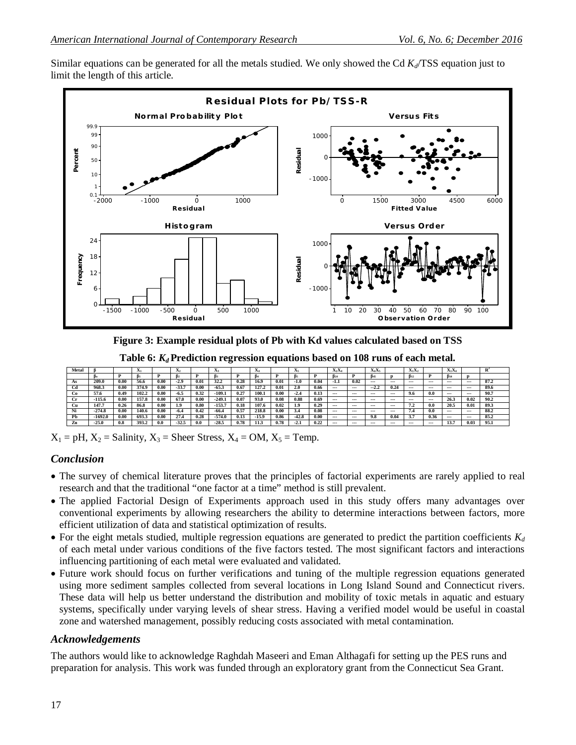Similar equations can be generated for all the metals studied. We only showed the Cd  $K_d$ /TSS equation just to limit the length of this article.



**Figure 3: Example residual plots of Pb with Kd values calculated based on TSS**

**Table 6:** *Kd* **Prediction regression equations based on 108 runs of each metal.**

| Metal |          |      | A     |      | $\mathbf{A}$ |      | Δэ       |      | Δа      |      | A      |      | $-1$<br>$\mathbf{A}_2\mathbf{A}_4$ |         | er ver<br>$\mathbf{A}_4\mathbf{A}_5$ |         | $X_1X_2$ |         | ${\bf A}_1{\bf A}_4$   |          |      |
|-------|----------|------|-------|------|--------------|------|----------|------|---------|------|--------|------|------------------------------------|---------|--------------------------------------|---------|----------|---------|------------------------|----------|------|
|       |          |      |       |      |              |      | В٦       |      |         |      |        | n    |                                    |         | B۵s                                  |         | $B_{12}$ |         | <b>B</b> <sub>14</sub> |          |      |
| As    | 209.0    | 0.00 | 56.6  | 0.00 | $-2.9$       | 0.01 | 32.2     | 0.28 | 16.9    | 0.01 | $-1.0$ | 0.04 | 1.1                                | 0.02    | $- - -$                              | $- - -$ | ---      | $- - -$ | $- - -$                | $- - -$  | 87.2 |
| Cd    | 968.3    | 0.00 | 374.9 | 0.00 | $-33.7$      | 0.00 | $-65.3$  | 0.67 | 127.2   | 0.01 | 2.0    | 0.66 | $- - -$                            | $- - -$ | $\sim$<br>$-2.4$                     | 0.24    | ---      | $- - -$ | $- - -$                | $- - -$  | 89.6 |
| Co    | 57.6     | 0.49 | 102.2 | 0.00 | $-6.5$       | 0.32 | -109.1   | 0.27 | 100.1   | 0.00 | -2.4   | 0.13 | $- - -$                            | $- - -$ | $-$                                  | $- - -$ | 9.6      | 0.0     | $- - -$                | $- - -$  | 90.7 |
| Сr    | 115.6    | 0.00 | 157.8 | 0.00 | 67.0         | 0.00 | $-249.1$ | 0.07 | 93.0    | 0.08 | 0.88   | 0.69 | $- - -$                            | $- - -$ | $-$                                  | $- - -$ | ---      | $- - -$ | 26.3                   | 0.02     | 90.2 |
| Сu    | 147.     | 0.26 | 86.8  | 0.00 | 1.9          | 0.80 | $-153.7$ | 0.18 | 107.6   | 0.02 | 1.9    | 0.29 | $- - -$                            | $- - -$ | $- - -$                              | $- - -$ | تە ب     | 0.0     | 20.5                   | 0.01     | 893  |
| Ni    | $-274.8$ | 0.00 | 140.6 | 0.00 | -6.4         | 0.42 | -66.4    | 0.57 | 218.8   | 0.00 | 3.4    | 0.08 | $- - -$                            | $- - -$ | $-$                                  | $- - -$ | 7.4      | 0.0     | $- - -$                | $- - -$  | 88.2 |
| Ph    | 1692.0   | 0.00 | 693.3 | 0.00 | 27.4         | 0.28 | $-574.0$ | 0.13 | $-15.9$ | 0.86 | -42.8  | 0.06 | $- - -$                            | $- - -$ | 9.8                                  | 0.04    | 3.7      | 0.36    | $- - -$                | $\cdots$ | 85.2 |
| Zn    | -25.0    |      | 393.2 | 0.0  | $-32.5$      | 0.0  | $-28.5$  | 0.78 | 11.3    | 0.78 | -2.1   | 0.22 | $\sim$                             | $- - -$ | $- - -$                              | $- - -$ | ---      | $\sim$  | 13.7                   | 0.03     | 95.1 |

 $X_1 = pH$ ,  $X_2 =$  Salinity,  $X_3 =$  Sheer Stress,  $X_4 = OM$ ,  $X_5 =$  Temp.

# *Conclusion*

- The survey of chemical literature proves that the principles of factorial experiments are rarely applied to real research and that the traditional "one factor at a time" method is still prevalent.
- The applied Factorial Design of Experiments approach used in this study offers many advantages over conventional experiments by allowing researchers the ability to determine interactions between factors, more efficient utilization of data and statistical optimization of results.
- For the eight metals studied, multiple regression equations are generated to predict the partition coefficients *K<sup>d</sup>* of each metal under various conditions of the five factors tested. The most significant factors and interactions influencing partitioning of each metal were evaluated and validated.
- Future work should focus on further verifications and tuning of the multiple regression equations generated using more sediment samples collected from several locations in Long Island Sound and Connecticut rivers. These data will help us better understand the distribution and mobility of toxic metals in aquatic and estuary systems, specifically under varying levels of shear stress. Having a verified model would be useful in coastal zone and watershed management, possibly reducing costs associated with metal contamination.

# *Acknowledgements*

The authors would like to acknowledge Raghdah Maseeri and Eman Althagafi for setting up the PES runs and preparation for analysis. This work was funded through an exploratory grant from the Connecticut Sea Grant.